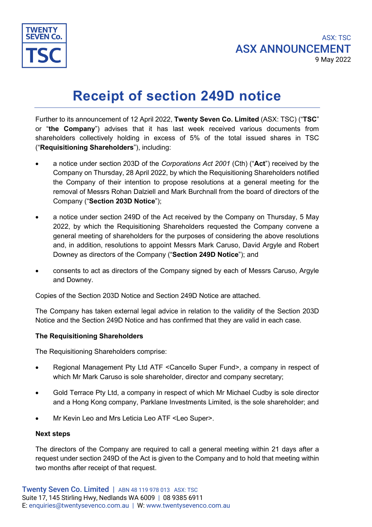

# **Receipt of section 249D notice**

Further to its announcement of 12 April 2022, **Twenty Seven Co. Limited** (ASX: TSC) ("**TSC**" or "**the Company**") advises that it has last week received various documents from shareholders collectively holding in excess of 5% of the total issued shares in TSC ("**Requisitioning Shareholders**"), including:

- a notice under section 203D of the *Corporations Act 2001* (Cth) ("**Act**") received by the Company on Thursday, 28 April 2022, by which the Requisitioning Shareholders notified the Company of their intention to propose resolutions at a general meeting for the removal of Messrs Rohan Dalziell and Mark Burchnall from the board of directors of the Company ("**Section 203D Notice**");
- a notice under section 249D of the Act received by the Company on Thursday, 5 May 2022, by which the Requisitioning Shareholders requested the Company convene a general meeting of shareholders for the purposes of considering the above resolutions and, in addition, resolutions to appoint Messrs Mark Caruso, David Argyle and Robert Downey as directors of the Company ("**Section 249D Notice**"); and
- consents to act as directors of the Company signed by each of Messrs Caruso, Argyle and Downey.

Copies of the Section 203D Notice and Section 249D Notice are attached.

The Company has taken external legal advice in relation to the validity of the Section 203D Notice and the Section 249D Notice and has confirmed that they are valid in each case.

## **The Requisitioning Shareholders**

The Requisitioning Shareholders comprise:

- Regional Management Pty Ltd ATF <Cancello Super Fund>, a company in respect of which Mr Mark Caruso is sole shareholder, director and company secretary;
- Gold Terrace Pty Ltd, a company in respect of which Mr Michael Cudby is sole director and a Hong Kong company, Parklane Investments Limited, is the sole shareholder; and
- Mr Kevin Leo and Mrs Leticia Leo ATF <Leo Super>.

## **Next steps**

The directors of the Company are required to call a general meeting within 21 days after a request under section 249D of the Act is given to the Company and to hold that meeting within two months after receipt of that request.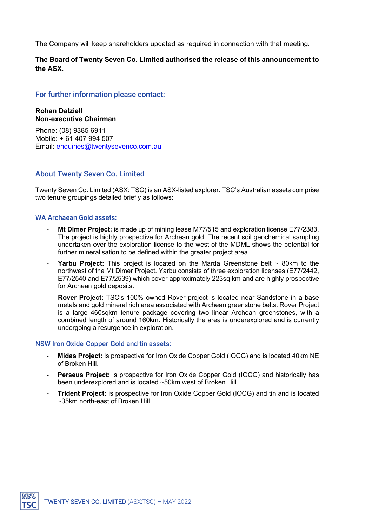The Company will keep shareholders updated as required in connection with that meeting.

## **The Board of Twenty Seven Co. Limited authorised the release of this announcement to the ASX.**

## For further information please contact:

**Rohan Dalziell Non-executive Chairman**

Phone: (08) 9385 6911 Mobile: + 61 407 994 507 Email: [enquiries@twentysevenco.com.au](mailto:enquiries@twentysevenco.com.au)

## About Twenty Seven Co. Limited

Twenty Seven Co. Limited (ASX: TSC) is an ASX-listed explorer. TSC's Australian assets comprise two tenure groupings detailed briefly as follows:

## WA Archaean Gold assets:

- **Mt Dimer Project:** is made up of mining lease M77/515 and exploration license E77/2383. The project is highly prospective for Archean gold. The recent soil geochemical sampling undertaken over the exploration license to the west of the MDML shows the potential for further mineralisation to be defined within the greater project area.
- **Yarbu Project:** This project is located on the Marda Greenstone belt  $\sim$  80km to the northwest of the Mt Dimer Project. Yarbu consists of three exploration licenses (E77/2442, E77/2540 and E77/2539) which cover approximately 223sq km and are highly prospective for Archean gold deposits.
- **Rover Project:** TSC's 100% owned Rover project is located near Sandstone in a base metals and gold mineral rich area associated with Archean greenstone belts. Rover Project is a large 460sqkm tenure package covering two linear Archean greenstones, with a combined length of around 160km. Historically the area is underexplored and is currently undergoing a resurgence in exploration.

## NSW Iron Oxide-Copper-Gold and tin assets:

- **Midas Project:** is prospective for Iron Oxide Copper Gold (IOCG) and is located 40km NE of Broken Hill.
- **Perseus Project:** is prospective for Iron Oxide Copper Gold (IOCG) and historically has been underexplored and is located ~50km west of Broken Hill.
- **Trident Project:** is prospective for Iron Oxide Copper Gold (IOCG) and tin and is located ~35km north-east of Broken Hill.

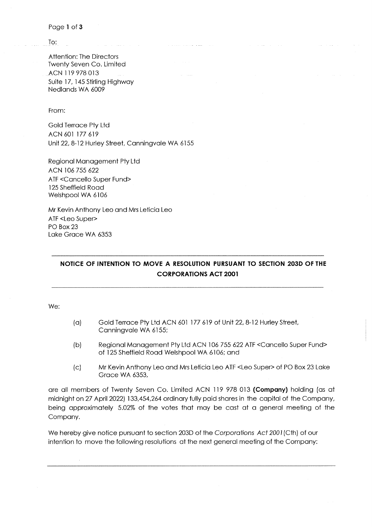Page 1 of 3

To:

**Attention: The Directors** Twenty Seven Co. Limited ACN 119 978 013 Suite 17, 145 Stirling Highway Nedlands WA 6009

From:

**Gold Terrace Pty Ltd** ACN 601 177 619 Unit 22, 8-12 Hurley Street, Canningvale WA 6155

Regional Management Pty Ltd ACN 106 755 622 ATF < Cancello Super Fund> 125 Sheffield Road Welshpool WA 6106

Mr Kevin Anthony Leo and Mrs Leticia Leo ATF <Leo Super> PO Box 23 Lake Grace WA 6353

## NOTICE OF INTENTION TO MOVE A RESOLUTION PURSUANT TO SECTION 203D OF THE **CORPORATIONS ACT 2001**

We:

- Gold Terrace Pty Ltd ACN 601 177 619 of Unit 22, 8-12 Hurley Street,  $(a)$ Canningvale WA 6155;
- $(b)$ Regional Management Pty Ltd ACN 106 755 622 ATF < Cancello Super Fund> of 125 Sheffield Road Welshpool WA 6106; and
- Mr Kevin Anthony Leo and Mrs Leticia Leo ATF <Leo Super> of PO Box 23 Lake  $|C|$ Grace WA 6353.

are all members of Twenty Seven Co. Limited ACN 119 978 013 (Company) holding (as at midnight on 27 April 2022) 133,454,264 ordinary fully paid shares in the capital of the Company, being approximately 5.02% of the votes that may be cast at a general meeting of the Company.

We hereby give notice pursuant to section 203D of the Corporations Act 2001(Cth) of our intention to move the following resolutions at the next general meeting of the Company: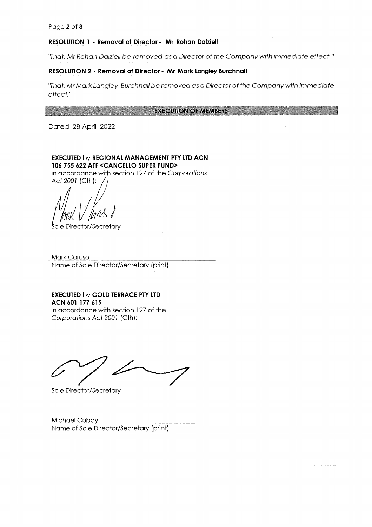#### Page 2 of 3

#### **RESOLUTION 1 - Removal of Director - Mr Rohan Dalziell**

"That, Mr Rohan Dalziell be removed as a Director of the Company with immediate effect."

#### RESOLUTION 2 - Removal of Director - Mr Mark Langley Burchnall

'That, Mr Mark Langley Burchnall be removed as a Director of the Company with immediate effect."

#### **EXECUTION OF MEMBERS**

Dated 28 April 2022

EXECUTED by REGIONAL MANAGEMENT PTY LTD ACN 106 755 622 ATF <CANCELLO SUPER FUND>

in accordance with section 127 of the Corporations Act 2001 (Cth):

Sole Director/Secretary

Mark Caruso Name of Sole Director/Secretary (print)

**EXECUTED by GOLD TERRACE PTY LTD** ACN 601 177 619

in accordance with section 127 of the Corporations Act 2001 (Cth):

Sole Director/Secretary

Michael Cubdy Name of Sole Director/Secretary (print)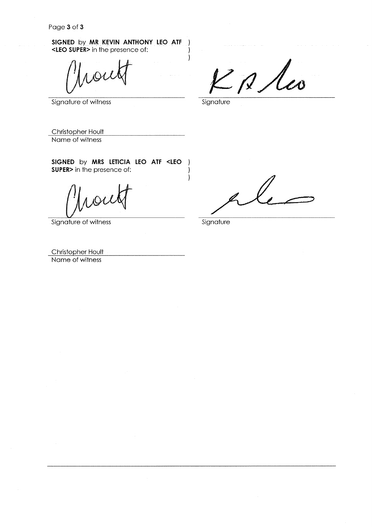SIGNED by MR KEVIN ANTHONY LEO ATF <LEO SUPER> in the presence of:

Signature of witness

 $2$   $\beta$   $\lambda$ co

Signature

-)

1  $\overline{\phantom{a}}$ 

 $\overline{\phantom{a}}$  $\mathcal{L}$ 

Christopher Hoult Name of witness

SIGNED by MRS LETICIA LEO ATF <LEO ) **SUPER>** in the presence of:

Signature of witness

Signature

Christopher Hoult Name of witness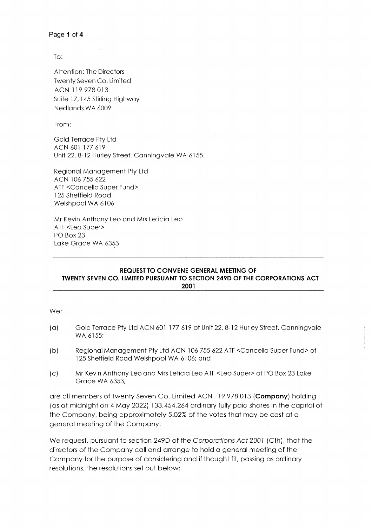```
Page 1 of 4
```
To:

Attention: The Directors **Twenty Seven Co. Limited** ACN 119 978 013 Suite 17, 145 Stirling Highway Nedlands WA 6009

From:

Gold Terrace Pty Ltd ACN 601 177 619 Unit 22, 8-12 Hurley Street, Canningvale WA 6155

Regional Management Pty Ltd ACN 106 755 622 ATF <Cancello Super Fund> 125 Sheffield Road Welshpool WA 6106

Mr Kevin Anthony Leo and Mrs Leticia Leo ATF <Leo Super> PO Box 23 Lake Grace WA 6353

#### REQUEST TO CONVENE GENERAL MEETING OF **TWENTY SEVEN CO. LIMITED PURSUANT TO SECTION 249D OF THE CORPORATIONS ACT** 2001

We:

- Gold Terrace Pty Ltd ACN 601 177 619 of Unit 22, 8-12 Hurley Street, Canningvale  $(a)$ WA 6155:
- $(b)$ Regional Management Pty Ltd ACN 106 755 622 ATF <Cancello Super Fund> of 125 Sheffield Road Welshpool WA 6106; and
- Mr Kevin Anthony Leo and Mrs Leticia Leo ATF <Leo Super> of PO Box 23 Lake  $\mathcal{L}$ Grace WA 6353,

are all members of Twenty Seven Co. Limited ACN 119 978 013 (Company) holding (as at midnight on 4 May 2022) 133,454,264 ordinary fully paid shares in the capital of the Company, being approximately 5.02% of the votes that may be cast at a general meeting of the Company.

We request, pursuant to section 249D of the Corporations Act 2001 (Cth), that the directors of the Company call and arrange to hold a general meeting of the Company for the purpose of considering and if thought fit, passing as ordinary resolutions, the resolutions set out below: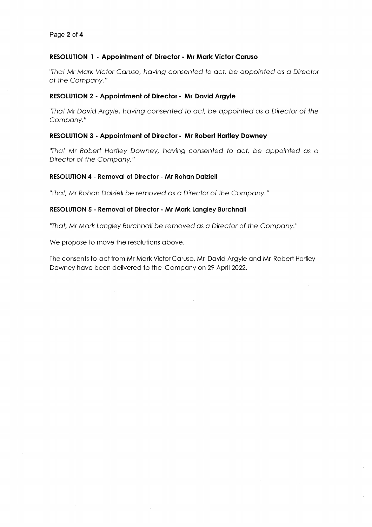## RESOLUTION 1 - Appointment of Director - Mr Mark Victor Caruso

"That Mr Mark Victor Caruso, having consented to act, be appointed as a Director of the Company."

## **RESOLUTION 2 - Appointment of Director - Mr David Argyle**

"That Mr David Argyle, having consented to act, be appointed as a Director of the Company."

## RESOLUTION 3 - Appointment of Director - Mr Robert Hartley Downey

"That Mr Robert Hartley Downey, having consented to act, be appointed as a Director of the Company."

## **RESOLUTION 4 - Removal of Director - Mr Rohan Dalziell**

"That, Mr Rohan Dalziell be removed as a Director of the Company."

## **RESOLUTION 5 - Removal of Director - Mr Mark Langley Burchnall**

"That, Mr Mark Langley Burchnall be removed as a Director of the Company."

We propose to move the resolutions above.

The consents to act from Mr Mark Victor Caruso, Mr David Argyle and Mr Robert Hartley Downey have been delivered to the Company on 29 April 2022.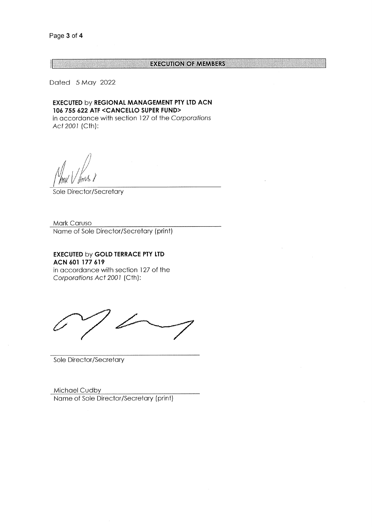#### **EXECUTION OF MEMBERS**

Dated 5 May 2022

**EXECUTED by REGIONAL MANAGEMENT PTY LTD ACN** 106 755 622 ATF <CANCELLO SUPER FUND>

in accordance with section 127 of the Corporations Act 2001 (Cth):

Sole Director/Secretary

Mark Caruso Name of Sole Director/Secretary (print)

**EXECUTED by GOLD TERRACE PTY LTD** ACN 601 177 619 in accordance with section 127 of the Corporations Act 2001 (Cth):

Sole Director/Secretary

Michael Cudby Name of Sole Director/Secretary (print)